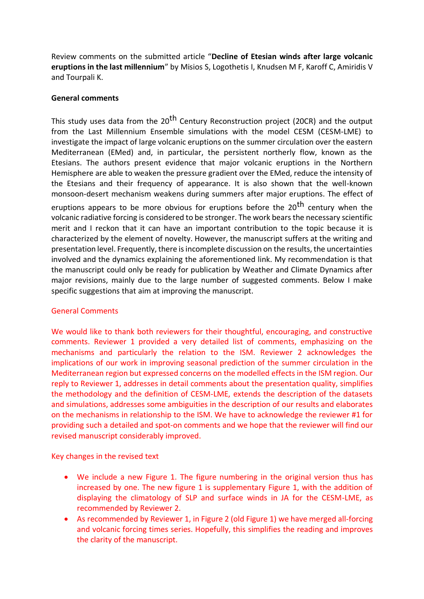Review comments on the submitted article "**Decline of Etesian winds after large volcanic eruptions in the last millennium**" by Misios S, Logothetis I, Knudsen M F, Karoff C, Amiridis V and Tourpali K.

## **General comments**

This study uses data from the 20<sup>th</sup> Century Reconstruction project (20CR) and the output from the Last Millennium Ensemble simulations with the model CESM (CESM-LME) to investigate the impact of large volcanic eruptions on the summer circulation over the eastern Mediterranean (EMed) and, in particular, the persistent northerly flow, known as the Etesians. The authors present evidence that major volcanic eruptions in the Northern Hemisphere are able to weaken the pressure gradient over the EMed, reduce the intensity of the Etesians and their frequency of appearance. It is also shown that the well-known monsoon-desert mechanism weakens during summers after major eruptions. The effect of eruptions appears to be more obvious for eruptions before the 20<sup>th</sup> century when the volcanic radiative forcing is considered to be stronger. The work bears the necessary scientific merit and I reckon that it can have an important contribution to the topic because it is characterized by the element of novelty. However, the manuscript suffers at the writing and presentation level. Frequently, there is incomplete discussion on the results, the uncertainties involved and the dynamics explaining the aforementioned link. My recommendation is that the manuscript could only be ready for publication by Weather and Climate Dynamics after major revisions, mainly due to the large number of suggested comments. Below I make specific suggestions that aim at improving the manuscript.

# General Comments

We would like to thank both reviewers for their thoughtful, encouraging, and constructive comments. Reviewer 1 provided a very detailed list of comments, emphasizing on the mechanisms and particularly the relation to the ISM. Reviewer 2 acknowledges the implications of our work in improving seasonal prediction of the summer circulation in the Mediterranean region but expressed concerns on the modelled effects in the ISM region. Our reply to Reviewer 1, addresses in detail comments about the presentation quality, simplifies the methodology and the definition of CESM-LME, extends the description of the datasets and simulations, addresses some ambiguities in the description of our results and elaborates on the mechanisms in relationship to the ISM. We have to acknowledge the reviewer #1 for providing such a detailed and spot-on comments and we hope that the reviewer will find our revised manuscript considerably improved.

Key changes in the revised text

- We include a new Figure 1. The figure numbering in the original version thus has increased by one. The new figure 1 is supplementary Figure 1, with the addition of displaying the climatology of SLP and surface winds in JA for the CESM-LME, as recommended by Reviewer 2.
- As recommended by Reviewer 1, in Figure 2 (old Figure 1) we have merged all-forcing and volcanic forcing times series. Hopefully, this simplifies the reading and improves the clarity of the manuscript.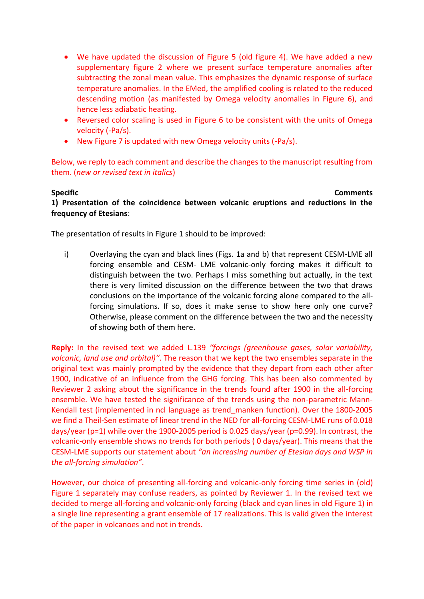- We have updated the discussion of Figure 5 (old figure 4). We have added a new supplementary figure 2 where we present surface temperature anomalies after subtracting the zonal mean value. This emphasizes the dynamic response of surface temperature anomalies. In the EMed, the amplified cooling is related to the reduced descending motion (as manifested by Omega velocity anomalies in Figure 6), and hence less adiabatic heating.
- Reversed color scaling is used in Figure 6 to be consistent with the units of Omega velocity (-Pa/s).
- New Figure 7 is updated with new Omega velocity units (-Pa/s).

Below, we reply to each comment and describe the changes to the manuscript resulting from them. (*new or revised text in italics*)

# **Specific Comments**

**1) Presentation of the coincidence between volcanic eruptions and reductions in the frequency of Etesians**:

The presentation of results in Figure 1 should to be improved:

i) Overlaying the cyan and black lines (Figs. 1a and b) that represent CESM-LME all forcing ensemble and CESM- LME volcanic-only forcing makes it difficult to distinguish between the two. Perhaps I miss something but actually, in the text there is very limited discussion on the difference between the two that draws conclusions on the importance of the volcanic forcing alone compared to the allforcing simulations. If so, does it make sense to show here only one curve? Otherwise, please comment on the difference between the two and the necessity of showing both of them here.

**Reply:** In the revised text we added L.139 *"forcings (greenhouse gases, solar variability, volcanic, land use and orbital)"*. The reason that we kept the two ensembles separate in the original text was mainly prompted by the evidence that they depart from each other after 1900, indicative of an influence from the GHG forcing. This has been also commented by Reviewer 2 asking about the significance in the trends found after 1900 in the all-forcing ensemble. We have tested the significance of the trends using the non-parametric Mann-Kendall test (implemented in ncl language as trend\_manken function). Over the 1800-2005 we find a Theil-Sen estimate of linear trend in the NED for all-forcing CESM-LME runs of 0.018 days/year (p=1) while over the 1900-2005 period is 0.025 days/year (p=0.99). In contrast, the volcanic-only ensemble shows no trends for both periods ( 0 days/year). This means that the CESM-LME supports our statement about *"an increasing number of Etesian days and WSP in the all-forcing simulation"*.

However, our choice of presenting all-forcing and volcanic-only forcing time series in (old) Figure 1 separately may confuse readers, as pointed by Reviewer 1. In the revised text we decided to merge all-forcing and volcanic-only forcing (black and cyan lines in old Figure 1) in a single line representing a grant ensemble of 17 realizations. This is valid given the interest of the paper in volcanoes and not in trends.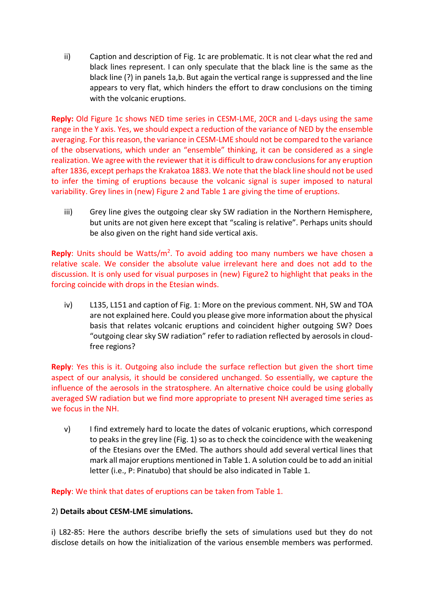ii) Caption and description of Fig. 1c are problematic. It is not clear what the red and black lines represent. I can only speculate that the black line is the same as the black line (?) in panels 1a,b. But again the vertical range is suppressed and the line appears to very flat, which hinders the effort to draw conclusions on the timing with the volcanic eruptions.

**Reply:** Old Figure 1c shows NED time series in CESM-LME, 20CR and L-days using the same range in the Y axis. Yes, we should expect a reduction of the variance of NED by the ensemble averaging. For this reason, the variance in CESM-LME should not be compared to the variance of the observations, which under an "ensemble" thinking, it can be considered as a single realization. We agree with the reviewer that it is difficult to draw conclusions for any eruption after 1836, except perhaps the Krakatoa 1883. We note that the black line should not be used to infer the timing of eruptions because the volcanic signal is super imposed to natural variability. Grey lines in (new) Figure 2 and Table 1 are giving the time of eruptions.

iii) Grey line gives the outgoing clear sky SW radiation in the Northern Hemisphere, but units are not given here except that "scaling is relative". Perhaps units should be also given on the right hand side vertical axis.

Reply: Units should be Watts/m<sup>2</sup>. To avoid adding too many numbers we have chosen a relative scale. We consider the absolute value irrelevant here and does not add to the discussion. It is only used for visual purposes in (new) Figure2 to highlight that peaks in the forcing coincide with drops in the Etesian winds.

iv) L135, L151 and caption of Fig. 1: More on the previous comment. NH, SW and TOA are not explained here. Could you please give more information about the physical basis that relates volcanic eruptions and coincident higher outgoing SW? Does "outgoing clear sky SW radiation" refer to radiation reflected by aerosols in cloudfree regions?

**Reply**: Yes this is it. Outgoing also include the surface reflection but given the short time aspect of our analysis, it should be considered unchanged. So essentially, we capture the influence of the aerosols in the stratosphere. An alternative choice could be using globally averaged SW radiation but we find more appropriate to present NH averaged time series as we focus in the NH.

v) I find extremely hard to locate the dates of volcanic eruptions, which correspond to peaks in the grey line (Fig. 1) so as to check the coincidence with the weakening of the Etesians over the EMed. The authors should add several vertical lines that mark all major eruptions mentioned in Table 1. A solution could be to add an initial letter (i.e., P: Pinatubo) that should be also indicated in Table 1.

**Reply**: We think that dates of eruptions can be taken from Table 1.

## 2) **Details about CESM-LME simulations.**

i) L82-85: Here the authors describe briefly the sets of simulations used but they do not disclose details on how the initialization of the various ensemble members was performed.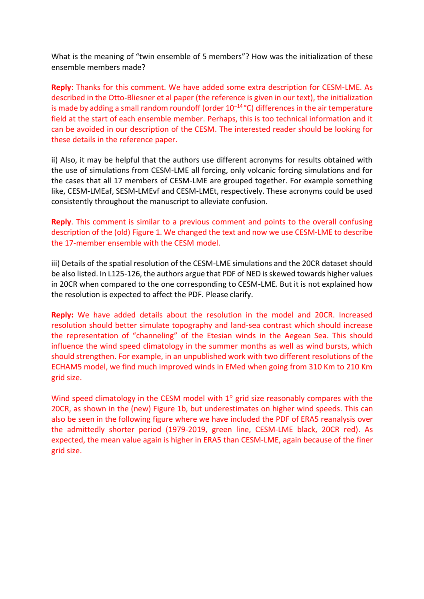What is the meaning of "twin ensemble of 5 members"? How was the initialization of these ensemble members made?

**Reply**: Thanks for this comment. We have added some extra description for CESM-LME. As described in the Otto-Bliesner et al paper (the reference is given in our text), the initialization is made by adding a small random roundoff (order  $10^{-14}$  °C) differences in the air temperature field at the start of each ensemble member. Perhaps, this is too technical information and it can be avoided in our description of the CESM. The interested reader should be looking for these details in the reference paper.

ii) Also, it may be helpful that the authors use different acronyms for results obtained with the use of simulations from CESM-LME all forcing, only volcanic forcing simulations and for the cases that all 17 members of CESM-LME are grouped together. For example something like, CESM-LMEaf, SESM-LMEvf and CESM-LMEt, respectively. These acronyms could be used consistently throughout the manuscript to alleviate confusion.

**Reply**. This comment is similar to a previous comment and points to the overall confusing description of the (old) Figure 1. We changed the text and now we use CESM-LME to describe the 17-member ensemble with the CESM model.

iii) Details of the spatial resolution of the CESM-LME simulations and the 20CR dataset should be also listed. In L125-126, the authors argue that PDF of NED is skewed towards higher values in 20CR when compared to the one corresponding to CESM-LME. But it is not explained how the resolution is expected to affect the PDF. Please clarify.

**Reply:** We have added details about the resolution in the model and 20CR. Increased resolution should better simulate topography and land-sea contrast which should increase the representation of "channeling" of the Etesian winds in the Aegean Sea. This should influence the wind speed climatology in the summer months as well as wind bursts, which should strengthen. For example, in an unpublished work with two different resolutions of the ECHAM5 model, we find much improved winds in EMed when going from 310 Km to 210 Km grid size.

Wind speed climatology in the CESM model with  $1^\circ$  grid size reasonably compares with the 20CR, as shown in the (new) Figure 1b, but underestimates on higher wind speeds. This can also be seen in the following figure where we have included the PDF of ERA5 reanalysis over the admittedly shorter period (1979-2019, green line, CESM-LME black, 20CR red). As expected, the mean value again is higher in ERA5 than CESM-LME, again because of the finer grid size.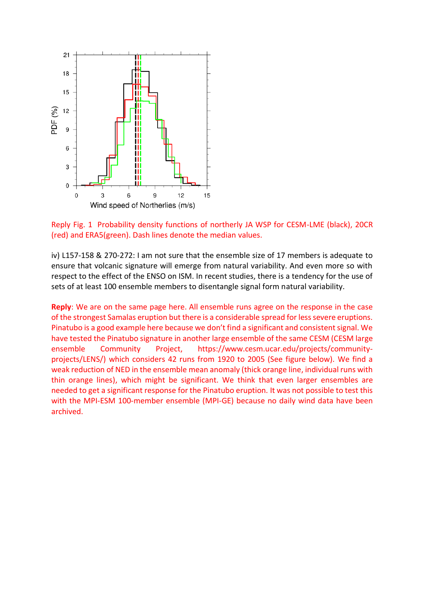

Reply Fig. 1 Probability density functions of northerly JA WSP for CESM-LME (black), 20CR (red) and ERA5(green). Dash lines denote the median values.

iv) L157-158 & 270-272: I am not sure that the ensemble size of 17 members is adequate to ensure that volcanic signature will emerge from natural variability. And even more so with respect to the effect of the ENSO on ISM. In recent studies, there is a tendency for the use of sets of at least 100 ensemble members to disentangle signal form natural variability.

**Reply**: We are on the same page here. All ensemble runs agree on the response in the case of the strongest Samalas eruption but there is a considerable spread for less severe eruptions. Pinatubo is a good example here because we don't find a significant and consistent signal. We have tested the Pinatubo signature in another large ensemble of the same CESM (CESM large ensemble Community Project, https://www.cesm.ucar.edu/projects/communityprojects/LENS/) which considers 42 runs from 1920 to 2005 (See figure below). We find a weak reduction of NED in the ensemble mean anomaly (thick orange line, individual runs with thin orange lines), which might be significant. We think that even larger ensembles are needed to get a significant response for the Pinatubo eruption. It was not possible to test this with the MPI-ESM 100-member ensemble (MPI-GE) because no daily wind data have been archived.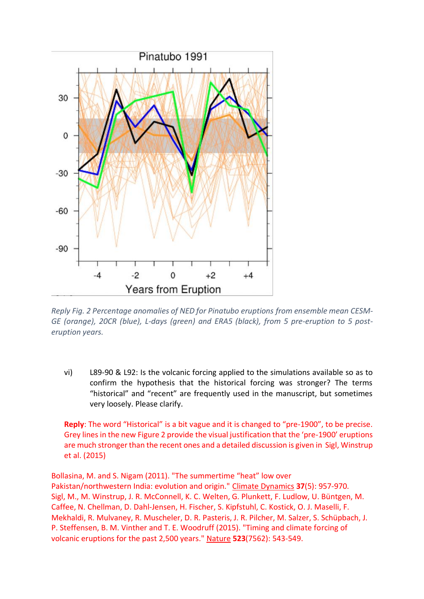

*Reply Fig. 2 Percentage anomalies of NED for Pinatubo eruptions from ensemble mean CESM-GE (orange), 20CR (blue), L-days (green) and ERA5 (black), from 5 pre-eruption to 5 posteruption years.*

vi) L89-90 & L92: Is the volcanic forcing applied to the simulations available so as to confirm the hypothesis that the historical forcing was stronger? The terms "historical" and "recent" are frequently used in the manuscript, but sometimes very loosely. Please clarify.

**Reply**: The word "Historical" is a bit vague and it is changed to "pre-1900", to be precise. Grey lines in the new Figure 2 provide the visual justification that the 'pre-1900' eruptions are much stronger than the recent ones and a detailed discussion is given in Sigl, Winstrup et al. (2015)

Bollasina, M. and S. Nigam (2011). "The summertime "heat" low over Pakistan/northwestern India: evolution and origin." Climate Dynamics **37**(5): 957-970. Sigl, M., M. Winstrup, J. R. McConnell, K. C. Welten, G. Plunkett, F. Ludlow, U. Büntgen, M. Caffee, N. Chellman, D. Dahl-Jensen, H. Fischer, S. Kipfstuhl, C. Kostick, O. J. Maselli, F. Mekhaldi, R. Mulvaney, R. Muscheler, D. R. Pasteris, J. R. Pilcher, M. Salzer, S. Schüpbach, J. P. Steffensen, B. M. Vinther and T. E. Woodruff (2015). "Timing and climate forcing of volcanic eruptions for the past 2,500 years." Nature **523**(7562): 543-549.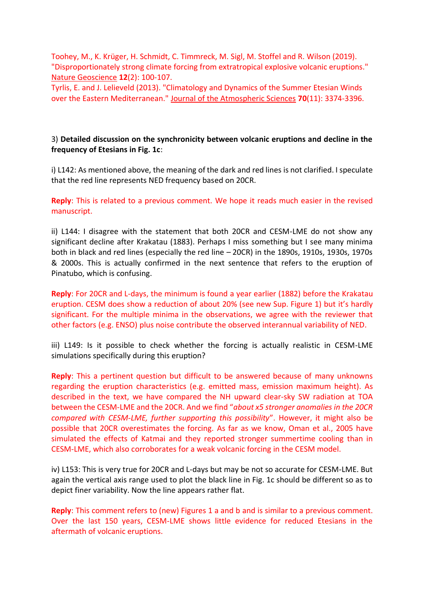Toohey, M., K. Krüger, H. Schmidt, C. Timmreck, M. Sigl, M. Stoffel and R. Wilson (2019). "Disproportionately strong climate forcing from extratropical explosive volcanic eruptions." Nature Geoscience **12**(2): 100-107.

Tyrlis, E. and J. Lelieveld (2013). "Climatology and Dynamics of the Summer Etesian Winds over the Eastern Mediterranean." Journal of the Atmospheric Sciences **70**(11): 3374-3396.

# 3) **Detailed discussion on the synchronicity between volcanic eruptions and decline in the frequency of Etesians in Fig. 1c**:

i) L142: As mentioned above, the meaning of the dark and red lines is not clarified. I speculate that the red line represents NED frequency based on 20CR.

**Reply**: This is related to a previous comment. We hope it reads much easier in the revised manuscript.

ii) L144: I disagree with the statement that both 20CR and CESM-LME do not show any significant decline after Krakatau (1883). Perhaps I miss something but I see many minima both in black and red lines (especially the red line – 20CR) in the 1890s, 1910s, 1930s, 1970s & 2000s. This is actually confirmed in the next sentence that refers to the eruption of Pinatubo, which is confusing.

**Reply**: For 20CR and L-days, the minimum is found a year earlier (1882) before the Krakatau eruption. CESM does show a reduction of about 20% (see new Sup. Figure 1) but it's hardly significant. For the multiple minima in the observations, we agree with the reviewer that other factors (e.g. ENSO) plus noise contribute the observed interannual variability of NED.

iii) L149: Is it possible to check whether the forcing is actually realistic in CESM-LME simulations specifically during this eruption?

**Reply**: This a pertinent question but difficult to be answered because of many unknowns regarding the eruption characteristics (e.g. emitted mass, emission maximum height). As described in the text, we have compared the NH upward clear-sky SW radiation at TOA between the CESM-LME and the 20CR. And we find "*about x5 stronger anomalies in the 20CR compared with CESM-LME, further supporting this possibility*". However, it might also be possible that 20CR overestimates the forcing. As far as we know, Oman et al., 2005 have simulated the effects of Katmai and they reported stronger summertime cooling than in CESM-LME, which also corroborates for a weak volcanic forcing in the CESM model.

iv) L153: This is very true for 20CR and L-days but may be not so accurate for CESM-LME. But again the vertical axis range used to plot the black line in Fig. 1c should be different so as to depict finer variability. Now the line appears rather flat.

**Reply**: This comment refers to (new) Figures 1 a and b and is similar to a previous comment. Over the last 150 years, CESM-LME shows little evidence for reduced Etesians in the aftermath of volcanic eruptions.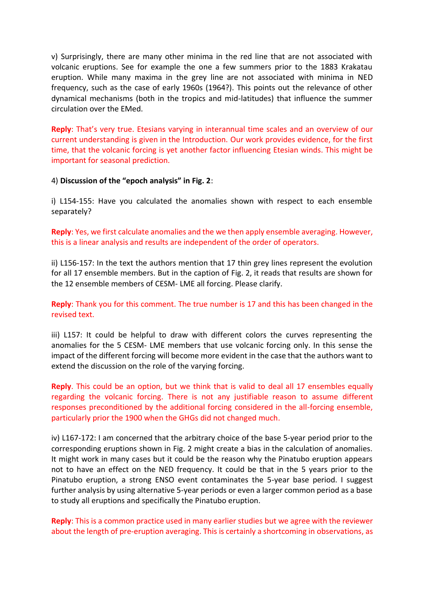v) Surprisingly, there are many other minima in the red line that are not associated with volcanic eruptions. See for example the one a few summers prior to the 1883 Krakatau eruption. While many maxima in the grey line are not associated with minima in NED frequency, such as the case of early 1960s (1964?). This points out the relevance of other dynamical mechanisms (both in the tropics and mid-latitudes) that influence the summer circulation over the EMed.

**Reply**: That's very true. Etesians varying in interannual time scales and an overview of our current understanding is given in the Introduction. Our work provides evidence, for the first time, that the volcanic forcing is yet another factor influencing Etesian winds. This might be important for seasonal prediction.

## 4) **Discussion of the "epoch analysis" in Fig. 2**:

i) L154-155: Have you calculated the anomalies shown with respect to each ensemble separately?

**Reply**: Yes, we first calculate anomalies and the we then apply ensemble averaging. However, this is a linear analysis and results are independent of the order of operators.

ii) L156-157: In the text the authors mention that 17 thin grey lines represent the evolution for all 17 ensemble members. But in the caption of Fig. 2, it reads that results are shown for the 12 ensemble members of CESM- LME all forcing. Please clarify.

**Reply**: Thank you for this comment. The true number is 17 and this has been changed in the revised text.

iii) L157: It could be helpful to draw with different colors the curves representing the anomalies for the 5 CESM- LME members that use volcanic forcing only. In this sense the impact of the different forcing will become more evident in the case that the authors want to extend the discussion on the role of the varying forcing.

**Reply**. This could be an option, but we think that is valid to deal all 17 ensembles equally regarding the volcanic forcing. There is not any justifiable reason to assume different responses preconditioned by the additional forcing considered in the all-forcing ensemble, particularly prior the 1900 when the GHGs did not changed much.

iv) L167-172: I am concerned that the arbitrary choice of the base 5-year period prior to the corresponding eruptions shown in Fig. 2 might create a bias in the calculation of anomalies. It might work in many cases but it could be the reason why the Pinatubo eruption appears not to have an effect on the NED frequency. It could be that in the 5 years prior to the Pinatubo eruption, a strong ENSO event contaminates the 5-year base period. I suggest further analysis by using alternative 5-year periods or even a larger common period as a base to study all eruptions and specifically the Pinatubo eruption.

**Reply**: This is a common practice used in many earlier studies but we agree with the reviewer about the length of pre-eruption averaging. This is certainly a shortcoming in observations, as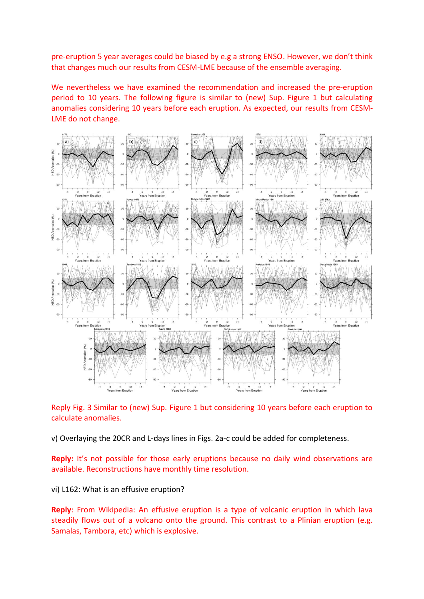pre-eruption 5 year averages could be biased by e.g a strong ENSO. However, we don't think that changes much our results from CESM-LME because of the ensemble averaging.

We nevertheless we have examined the recommendation and increased the pre-eruption period to 10 years. The following figure is similar to (new) Sup. Figure 1 but calculating anomalies considering 10 years before each eruption. As expected, our results from CESM-LME do not change.



Reply Fig. 3 Similar to (new) Sup. Figure 1 but considering 10 years before each eruption to calculate anomalies.

v) Overlaying the 20CR and L-days lines in Figs. 2a-c could be added for completeness.

**Reply:** It's not possible for those early eruptions because no daily wind observations are available. Reconstructions have monthly time resolution.

vi) L162: What is an effusive eruption?

**Reply**: From Wikipedia: An effusive eruption is a type of volcanic eruption in which lava steadily flows out of a volcano onto the ground. This contrast to a Plinian eruption (e.g. Samalas, Tambora, etc) which is explosive.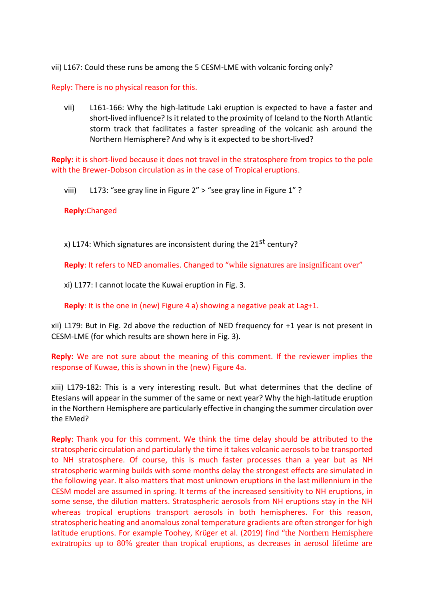vii) L167: Could these runs be among the 5 CESM-LME with volcanic forcing only?

Reply: There is no physical reason for this.

vii) L161-166: Why the high-latitude Laki eruption is expected to have a faster and short-lived influence? Is it related to the proximity of Iceland to the North Atlantic storm track that facilitates a faster spreading of the volcanic ash around the Northern Hemisphere? And why is it expected to be short-lived?

**Reply:** it is short-lived because it does not travel in the stratosphere from tropics to the pole with the Brewer-Dobson circulation as in the case of Tropical eruptions.

viii) L173: "see gray line in Figure 2" > "see gray line in Figure 1" ?

# **Reply:**Changed

x) L174: Which signatures are inconsistent during the  $21^{st}$  century?

**Reply**: It refers to NED anomalies. Changed to "while signatures are insignificant over"

xi) L177: I cannot locate the Kuwai eruption in Fig. 3.

**Reply**: It is the one in (new) Figure 4 a) showing a negative peak at Lag+1.

xii) L179: But in Fig. 2d above the reduction of NED frequency for +1 year is not present in CESM-LME (for which results are shown here in Fig. 3).

## **Reply:** We are not sure about the meaning of this comment. If the reviewer implies the response of Kuwae, this is shown in the (new) Figure 4a.

xiii) L179-182: This is a very interesting result. But what determines that the decline of Etesians will appear in the summer of the same or next year? Why the high-latitude eruption in the Northern Hemisphere are particularly effective in changing the summer circulation over the EMed?

**Reply**: Thank you for this comment. We think the time delay should be attributed to the stratospheric circulation and particularly the time it takes volcanic aerosols to be transported to NH stratosphere. Of course, this is much faster processes than a year but as NH stratospheric warming builds with some months delay the strongest effects are simulated in the following year. It also matters that most unknown eruptions in the last millennium in the CESM model are assumed in spring. It terms of the increased sensitivity to NH eruptions, in some sense, the dilution matters. Stratospheric aerosols from NH eruptions stay in the NH whereas tropical eruptions transport aerosols in both hemispheres. For this reason, stratospheric heating and anomalous zonal temperature gradients are often stronger for high latitude eruptions. For example Toohey, Krüger et al. (2019) find "the Northern Hemisphere extratropics up to 80% greater than tropical eruptions, as decreases in aerosol lifetime are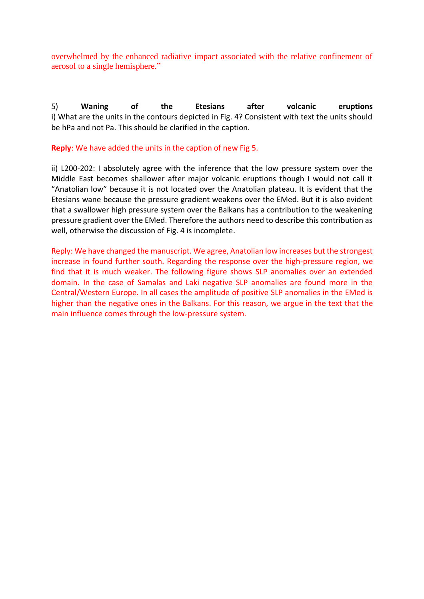overwhelmed by the enhanced radiative impact associated with the relative confinement of aerosol to a single hemisphere."

5) **Waning of the Etesians after volcanic eruptions** i) What are the units in the contours depicted in Fig. 4? Consistent with text the units should be hPa and not Pa. This should be clarified in the caption.

## **Reply**: We have added the units in the caption of new Fig 5.

ii) L200-202: I absolutely agree with the inference that the low pressure system over the Middle East becomes shallower after major volcanic eruptions though I would not call it "Anatolian low" because it is not located over the Anatolian plateau. It is evident that the Etesians wane because the pressure gradient weakens over the EMed. But it is also evident that a swallower high pressure system over the Balkans has a contribution to the weakening pressure gradient over the EMed. Therefore the authors need to describe this contribution as well, otherwise the discussion of Fig. 4 is incomplete.

Reply: We have changed the manuscript. We agree, Anatolian low increases but the strongest increase in found further south. Regarding the response over the high-pressure region, we find that it is much weaker. The following figure shows SLP anomalies over an extended domain. In the case of Samalas and Laki negative SLP anomalies are found more in the Central/Western Europe. In all cases the amplitude of positive SLP anomalies in the EMed is higher than the negative ones in the Balkans. For this reason, we argue in the text that the main influence comes through the low-pressure system.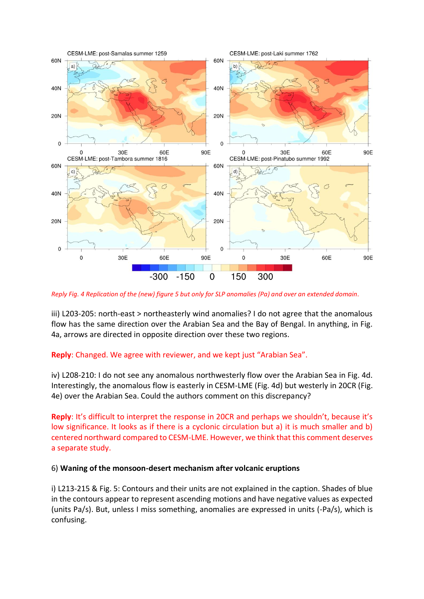

*Reply Fig. 4 Replication of the (new) figure 5 but only for SLP anomalies (Pa) and over an extended domain.*

iii) L203-205: north-east > northeasterly wind anomalies? I do not agree that the anomalous flow has the same direction over the Arabian Sea and the Bay of Bengal. In anything, in Fig. 4a, arrows are directed in opposite direction over these two regions.

# **Reply**: Changed. We agree with reviewer, and we kept just "Arabian Sea".

iv) L208-210: I do not see any anomalous northwesterly flow over the Arabian Sea in Fig. 4d. Interestingly, the anomalous flow is easterly in CESM-LME (Fig. 4d) but westerly in 20CR (Fig. 4e) over the Arabian Sea. Could the authors comment on this discrepancy?

**Reply**: It's difficult to interpret the response in 20CR and perhaps we shouldn't, because it's low significance. It looks as if there is a cyclonic circulation but a) it is much smaller and b) centered northward compared to CESM-LME. However, we think that this comment deserves a separate study.

# 6) **Waning of the monsoon-desert mechanism after volcanic eruptions**

i) L213-215 & Fig. 5: Contours and their units are not explained in the caption. Shades of blue in the contours appear to represent ascending motions and have negative values as expected (units Pa/s). But, unless I miss something, anomalies are expressed in units (-Pa/s), which is confusing.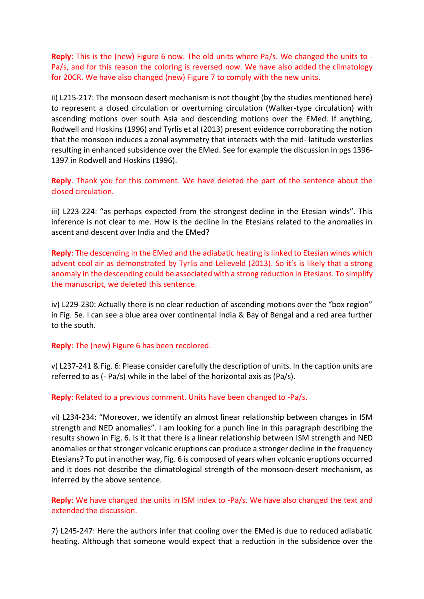**Reply**: This is the (new) Figure 6 now. The old units where Pa/s. We changed the units to - Pa/s, and for this reason the coloring is reversed now. We have also added the climatology for 20CR. We have also changed (new) Figure 7 to comply with the new units.

ii) L215-217: The monsoon desert mechanism is not thought (by the studies mentioned here) to represent a closed circulation or overturning circulation (Walker-type circulation) with ascending motions over south Asia and descending motions over the EMed. If anything, Rodwell and Hoskins (1996) and Tyrlis et al (2013) present evidence corroborating the notion that the monsoon induces a zonal asymmetry that interacts with the mid- latitude westerlies resulting in enhanced subsidence over the EMed. See for example the discussion in pgs 1396- 1397 in Rodwell and Hoskins (1996).

**Reply**. Thank you for this comment. We have deleted the part of the sentence about the closed circulation.

iii) L223-224: "as perhaps expected from the strongest decline in the Etesian winds". This inference is not clear to me. How is the decline in the Etesians related to the anomalies in ascent and descent over India and the EMed?

**Reply**: The descending in the EMed and the adiabatic heating is linked to Etesian winds which advent cool air as demonstrated by Tyrlis and Lelieveld (2013). So it's is likely that a strong anomaly in the descending could be associated with a strong reduction in Etesians. To simplify the manuscript, we deleted this sentence.

iv) L229-230: Actually there is no clear reduction of ascending motions over the "box region" in Fig. 5e. I can see a blue area over continental India & Bay of Bengal and a red area further to the south.

### **Reply**: The (new) Figure 6 has been recolored.

v) L237-241 & Fig. 6: Please consider carefully the description of units. In the caption units are referred to as (- Pa/s) while in the label of the horizontal axis as (Pa/s).

### **Reply**: Related to a previous comment. Units have been changed to -Pa/s.

vi) L234-234: "Moreover, we identify an almost linear relationship between changes in ISM strength and NED anomalies". I am looking for a punch line in this paragraph describing the results shown in Fig. 6. Is it that there is a linear relationship between ISM strength and NED anomalies or that stronger volcanic eruptions can produce a stronger decline in the frequency Etesians? To put in another way, Fig. 6 is composed of years when volcanic eruptions occurred and it does not describe the climatological strength of the monsoon-desert mechanism, as inferred by the above sentence.

## **Reply**: We have changed the units in ISM index to -Pa/s. We have also changed the text and extended the discussion.

7) L245-247: Here the authors infer that cooling over the EMed is due to reduced adiabatic heating. Although that someone would expect that a reduction in the subsidence over the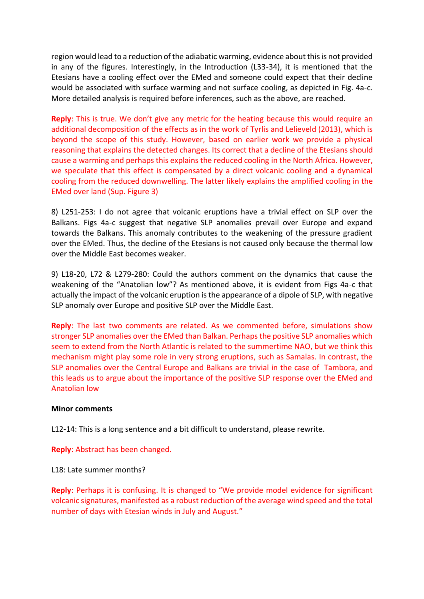region would lead to a reduction of the adiabatic warming, evidence about this is not provided in any of the figures. Interestingly, in the Introduction (L33-34), it is mentioned that the Etesians have a cooling effect over the EMed and someone could expect that their decline would be associated with surface warming and not surface cooling, as depicted in Fig. 4a-c. More detailed analysis is required before inferences, such as the above, are reached.

**Reply**: This is true. We don't give any metric for the heating because this would require an additional decomposition of the effects as in the work of Tyrlis and Lelieveld (2013), which is beyond the scope of this study. However, based on earlier work we provide a physical reasoning that explains the detected changes. Its correct that a decline of the Etesians should cause a warming and perhaps this explains the reduced cooling in the North Africa. However, we speculate that this effect is compensated by a direct volcanic cooling and a dynamical cooling from the reduced downwelling. The latter likely explains the amplified cooling in the EMed over land (Sup. Figure 3)

8) L251-253: I do not agree that volcanic eruptions have a trivial effect on SLP over the Balkans. Figs 4a-c suggest that negative SLP anomalies prevail over Europe and expand towards the Balkans. This anomaly contributes to the weakening of the pressure gradient over the EMed. Thus, the decline of the Etesians is not caused only because the thermal low over the Middle East becomes weaker.

9) L18-20, L72 & L279-280: Could the authors comment on the dynamics that cause the weakening of the "Anatolian low"? As mentioned above, it is evident from Figs 4a-c that actually the impact of the volcanic eruption is the appearance of a dipole of SLP, with negative SLP anomaly over Europe and positive SLP over the Middle East.

**Reply**: The last two comments are related. As we commented before, simulations show stronger SLP anomalies over the EMed than Balkan. Perhaps the positive SLP anomalies which seem to extend from the North Atlantic is related to the summertime NAO, but we think this mechanism might play some role in very strong eruptions, such as Samalas. In contrast, the SLP anomalies over the Central Europe and Balkans are trivial in the case of Tambora, and this leads us to argue about the importance of the positive SLP response over the EMed and Anatolian low

### **Minor comments**

L12-14: This is a long sentence and a bit difficult to understand, please rewrite.

**Reply**: Abstract has been changed.

L18: Late summer months?

**Reply**: Perhaps it is confusing. It is changed to "We provide model evidence for significant volcanic signatures, manifested as a robust reduction of the average wind speed and the total number of days with Etesian winds in July and August."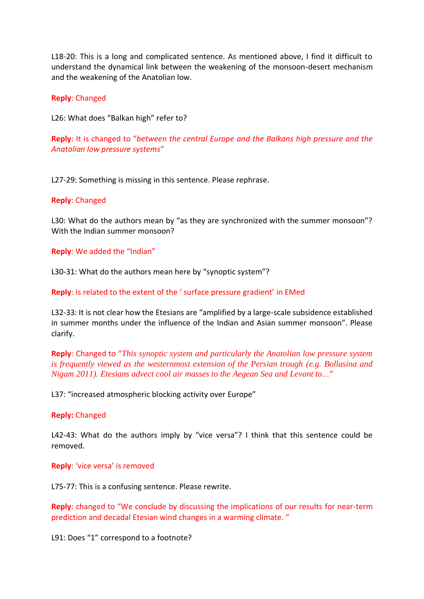L18-20: This is a long and complicated sentence. As mentioned above, I find it difficult to understand the dynamical link between the weakening of the monsoon-desert mechanism and the weakening of the Anatolian low.

## **Reply**: Changed

L26: What does "Balkan high" refer to?

**Reply**: It is changed to "*between the central Europe and the Balkans high pressure and the Anatolian low pressure systems*"

L27-29: Something is missing in this sentence. Please rephrase.

## **Reply**: Changed

L30: What do the authors mean by "as they are synchronized with the summer monsoon"? With the Indian summer monsoon?

**Reply**: We added the "Indian"

L30-31: What do the authors mean here by "synoptic system"?

**Reply**: Is related to the extent of the ' surface pressure gradient' in EMed

L32-33: It is not clear how the Etesians are "amplified by a large-scale subsidence established in summer months under the influence of the Indian and Asian summer monsoon". Please clarify.

**Reply**: Changed to "*This synoptic system and particularly the Anatolian low pressure system is frequently viewed as the westernmost extension of the Persian trough (e.g. Bollasina and Nigam 2011). Etesians advect cool air masses to the Aegean Sea and Levant to…*"

L37: "increased atmospheric blocking activity over Europe"

### **Reply:** Changed

L42-43: What do the authors imply by "vice versa"? I think that this sentence could be removed.

### **Reply**: 'vice versa' is removed

L75-77: This is a confusing sentence. Please rewrite.

**Reply**: changed to "We conclude by discussing the implications of our results for near-term prediction and decadal Etesian wind changes in a warming climate. "

L91: Does "1" correspond to a footnote?